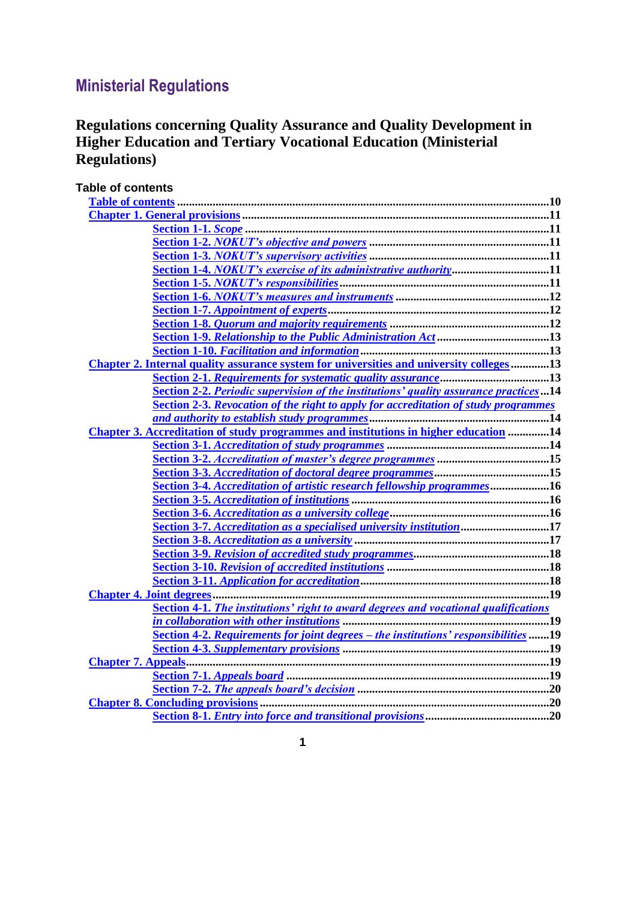# **Ministerial Regulations**

## **Regulations concerning Quality Assurance and Quality Development in Higher Education and Tertiary Vocational Education (Ministerial Regulations)**

<span id="page-0-0"></span>

| <b>Table of contents</b>                                                                |  |
|-----------------------------------------------------------------------------------------|--|
|                                                                                         |  |
|                                                                                         |  |
|                                                                                         |  |
|                                                                                         |  |
|                                                                                         |  |
| Section 1-4. NOKUT's exercise of its administrative authority11                         |  |
|                                                                                         |  |
|                                                                                         |  |
|                                                                                         |  |
|                                                                                         |  |
|                                                                                         |  |
|                                                                                         |  |
| Chapter 2. Internal quality assurance system for universities and university colleges13 |  |
|                                                                                         |  |
| Section 2-2. Periodic supervision of the institutions' quality assurance practices14    |  |
| Section 2-3. Revocation of the right to apply for accreditation of study programmes     |  |
|                                                                                         |  |
| Chapter 3. Accreditation of study programmes and institutions in higher education 14    |  |
|                                                                                         |  |
|                                                                                         |  |
|                                                                                         |  |
| Section 3-4. Accreditation of artistic research fellowship programmes16                 |  |
|                                                                                         |  |
| Section 3-6. Accreditation as a university college manuated manuated as 16              |  |
| Section 3-7. Accreditation as a specialised university institution17                    |  |
|                                                                                         |  |
|                                                                                         |  |
|                                                                                         |  |
|                                                                                         |  |
|                                                                                         |  |
| Section 4-1. The institutions' right to award degrees and vocational qualifications     |  |
|                                                                                         |  |
| Section 4-2. Requirements for joint degrees - the institutions' responsibilities19      |  |
|                                                                                         |  |
|                                                                                         |  |
|                                                                                         |  |
|                                                                                         |  |
|                                                                                         |  |
|                                                                                         |  |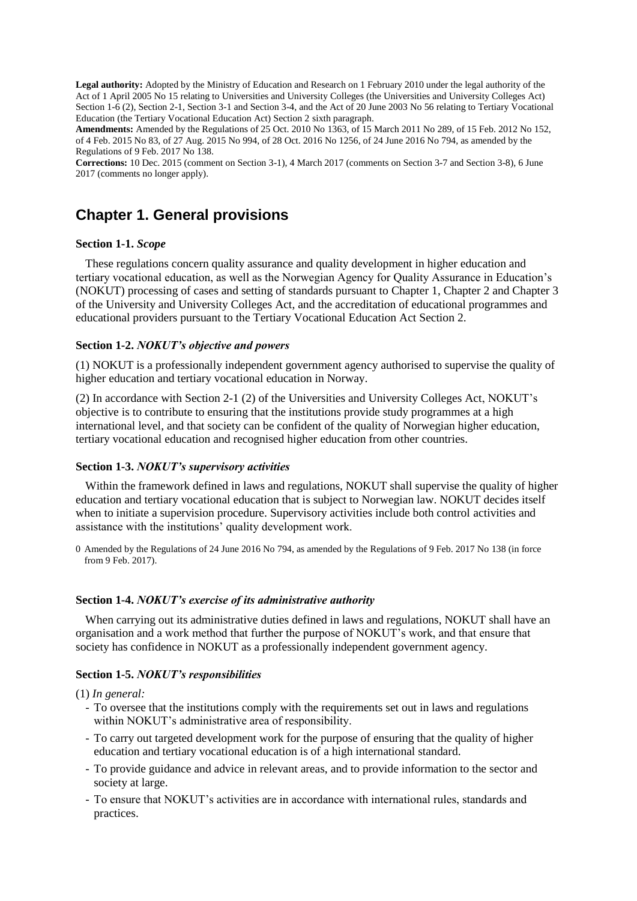**Legal authority:** Adopted by the Ministry of Education and Research on 1 February 2010 under the legal authority of the [Act of 1 April 2005 No](http://www.lovdata.no/pro#reference/lov/2005-04-01-15) [15](http://www.lovdata.no/pro#reference/lov/2005-04-01-15) relating to Universities and University Colleges (the Universities and University Colleges Act) [Section 1-6](http://www.lovdata.no/pro#reference/lov/2005-04-01-15/§1-6) (2)[, Section 2-1,](http://www.lovdata.no/pro#reference/lov/2005-04-01-15/§2-1) [Section 3-1](http://www.lovdata.no/pro#reference/lov/2005-04-01-15/§3-1) and [Section 3-4,](http://www.lovdata.no/pro#reference/lov/2005-04-01-15/§3-4) and the [Act of 20 June 2003 No](http://www.lovdata.no/pro#reference/lov/2003-06-20-56/§2) [56 relating to Tertiary Vocational](http://www.lovdata.no/pro#reference/lov/2003-06-20-56/§2)  [Education \(the Tertiary Vocational Education Act\) Section 2](http://www.lovdata.no/pro#reference/lov/2003-06-20-56/§2) sixth paragraph.

**Amendments:** Amended by the [Regulations of 25 Oct. 2010 No](http://www.lovdata.no/pro#reference/forskrift/2010-10-25-1363) [1363,](http://www.lovdata.no/pro#reference/forskrift/2010-10-25-1363) [of 15 March 2011 No](http://www.lovdata.no/pro#reference/forskrift/2011-03-15-289) [289,](http://www.lovdata.no/pro#reference/forskrift/2011-03-15-289) [of 15 Feb. 2012 No](http://www.lovdata.no/pro#reference/forskrift/2012-02-15-152) [152,](http://www.lovdata.no/pro#reference/forskrift/2012-02-15-152) [of 4 Feb. 2015 No](http://www.lovdata.no/pro#reference/forskrift/2015-02-04-83) [83,](http://www.lovdata.no/pro#reference/forskrift/2015-02-04-83) [of 27 Aug. 2015 No](http://www.lovdata.no/pro#reference/forskrift/2015-08-27-994) [994,](http://www.lovdata.no/pro#reference/forskrift/2015-08-27-994) [of 28 Oct. 2016 No](http://www.lovdata.no/pro#reference/forskrift/2016-10-28-1256) [1256,](http://www.lovdata.no/pro#reference/forskrift/2016-10-28-1256) [of 24 June 2016 No](http://www.lovdata.no/pro#reference/forskrift/2016-06-24-794) [794,](http://www.lovdata.no/pro#reference/forskrift/2016-06-24-794) as amended by the [Regulations of 9 Feb. 2017 No](http://www.lovdata.no/pro#reference/forskrift/2017-02-09-138) [138.](http://www.lovdata.no/pro#reference/forskrift/2017-02-09-138)

**Corrections:** 10 Dec. 2015 (comment on Section 3-1), 4 March 2017 (comments on Section 3-7 and Section 3-8), 6 June 2017 (comments no longer apply).

## <span id="page-1-0"></span>**Chapter 1. General provisions**

#### <span id="page-1-1"></span>**Section 1-1.** *Scope*

These regulations concern quality assurance and quality development in higher education and tertiary vocational education, as well as the Norwegian Agency for Quality Assurance in Education's (NOKUT) processing of cases and setting of standards pursuant to [Chapter 1,](http://www.lovdata.no/pro#reference/lov/2005-04-01-15/kap1) [Chapter](http://www.lovdata.no/pro#reference/lov/2005-04-01-15/kap2) 2 and [Chapter](http://www.lovdata.no/pro#reference/lov/2005-04-01-15/kap3) 3 of the University and University Colleges Act, and the accreditation of educational programmes and educational providers pursuant to the [Tertiary Vocational Education Act Section 2.](http://www.lovdata.no/pro#reference/lov/2003-06-20-56/§2)

#### <span id="page-1-2"></span>**Section 1-2.** *NOKUT's objective and powers*

(1) NOKUT is a professionally independent government agency authorised to supervise the quality of higher education and tertiary vocational education in Norway.

(2) In accordance with [Section 2-1 \(2\) of the Universities and University Colleges Act,](http://www.lovdata.no/pro#reference/lov/2005-04-01-15/§2-1) NOKUT's objective is to contribute to ensuring that the institutions provide study programmes at a high international level, and that society can be confident of the quality of Norwegian higher education, tertiary vocational education and recognised higher education from other countries.

## <span id="page-1-3"></span>**Section 1-3.** *NOKUT's supervisory activities*

Within the framework defined in laws and regulations, NOKUT shall supervise the quality of higher education and tertiary vocational education that is subject to Norwegian law. NOKUT decides itself when to initiate a supervision procedure. Supervisory activities include both control activities and assistance with the institutions' quality development work.

0 Amended by th[e Regulations of 24 June 2016 No](http://www.lovdata.no/pro#reference/forskrift/2016-06-24-794) [794,](http://www.lovdata.no/pro#reference/forskrift/2016-06-24-794) as amended by the [Regulations of 9 Feb. 2017 No](http://www.lovdata.no/pro#reference/forskrift/2017-02-09-138) [138](http://www.lovdata.no/pro#reference/forskrift/2017-02-09-138) (in force from 9 Feb. 2017).

#### <span id="page-1-4"></span>**Section 1-4.** *NOKUT's exercise of its administrative authority*

When carrying out its administrative duties defined in laws and regulations, NOKUT shall have an organisation and a work method that further the purpose of NOKUT's work, and that ensure that society has confidence in NOKUT as a professionally independent government agency.

#### <span id="page-1-5"></span>**Section 1-5.** *NOKUT's responsibilities*

(1) *In general:*

- To oversee that the institutions comply with the requirements set out in laws and regulations within NOKUT's administrative area of responsibility.
- To carry out targeted development work for the purpose of ensuring that the quality of higher education and tertiary vocational education is of a high international standard.
- To provide guidance and advice in relevant areas, and to provide information to the sector and society at large.
- To ensure that NOKUT's activities are in accordance with international rules, standards and practices.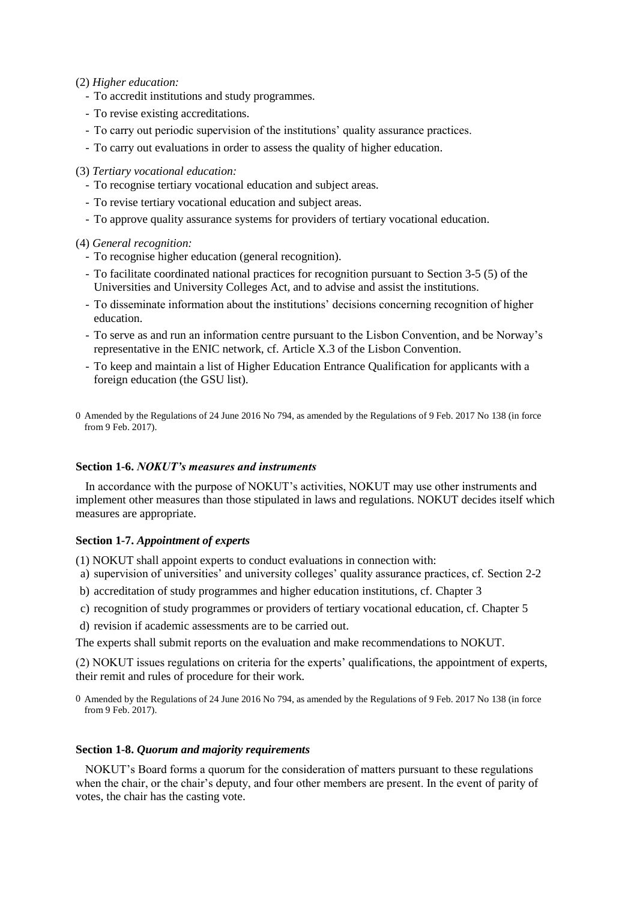- (2) *Higher education:*
	- To accredit institutions and study programmes.
	- To revise existing accreditations.
	- To carry out periodic supervision of the institutions' quality assurance practices.
	- To carry out evaluations in order to assess the quality of higher education.

(3) *Tertiary vocational education:*

- To recognise tertiary vocational education and subject areas.
- To revise tertiary vocational education and subject areas.
- To approve quality assurance systems for providers of tertiary vocational education.

(4) *General recognition:*

- To recognise higher education (general recognition).
- To facilitate coordinated national practices for recognition pursuant to [Section 3-5](http://www.lovdata.no/pro#reference/lov/2005-04-01-15/§3-5) (5) of the Universities and University Colleges Act, and to advise and assist the institutions.
- To disseminate information about the institutions' decisions concerning recognition of higher education.
- To serve as and run an information centre pursuant to the Lisbon Convention, and be Norway's representative in the ENIC network, cf. Article X.3 of the Lisbon Convention.
- To keep and maintain a list of Higher Education Entrance Qualification for applicants with a foreign education (the GSU list).
- 0 Amended by th[e Regulations of 24 June 2016 No](http://www.lovdata.no/pro#reference/forskrift/2016-06-24-794) [794,](http://www.lovdata.no/pro#reference/forskrift/2016-06-24-794) as amended by the [Regulations of 9 Feb. 2017 No](http://www.lovdata.no/pro#reference/forskrift/2017-02-09-138) [138](http://www.lovdata.no/pro#reference/forskrift/2017-02-09-138) (in force from 9 Feb. 2017).

### <span id="page-2-0"></span>**Section 1-6.** *NOKUT's measures and instruments*

In accordance with the purpose of NOKUT's activities, NOKUT may use other instruments and implement other measures than those stipulated in laws and regulations. NOKUT decides itself which measures are appropriate.

#### <span id="page-2-1"></span>**Section 1-7.** *Appointment of experts*

- (1) NOKUT shall appoint experts to conduct evaluations in connection with:
- a) supervision of universities' and university colleges' quality assurance practices, cf. [Section 2-2](http://www.lovdata.no/pro#reference/forskrift/2010-02-01-96/§2-2)
- b) accreditation of study programmes and higher education institutions, cf. [Chapter](http://www.lovdata.no/pro#reference/forskrift/2010-02-01-96/kap3) 3
- c) recognition of study programmes or providers of tertiary vocational education, cf. [Chapter](http://www.lovdata.no/pro#reference/forskrift/2010-02-01-96/kap5) 5
- d) revision if academic assessments are to be carried out.

The experts shall submit reports on the evaluation and make recommendations to NOKUT.

(2) NOKUT issues regulations on criteria for the experts' qualifications, the appointment of experts, their remit and rules of procedure for their work.

0 Amended by th[e Regulations of 24 June 2016 No](http://www.lovdata.no/pro#reference/forskrift/2016-06-24-794) [794,](http://www.lovdata.no/pro#reference/forskrift/2016-06-24-794) as amended by the [Regulations of 9 Feb. 2017 No](http://www.lovdata.no/pro#reference/forskrift/2017-02-09-138) [138](http://www.lovdata.no/pro#reference/forskrift/2017-02-09-138) (in force from 9 Feb. 2017).

#### <span id="page-2-2"></span>**Section 1-8.** *Quorum and majority requirements*

NOKUT's Board forms a quorum for the consideration of matters pursuant to these regulations when the chair, or the chair's deputy, and four other members are present. In the event of parity of votes, the chair has the casting vote.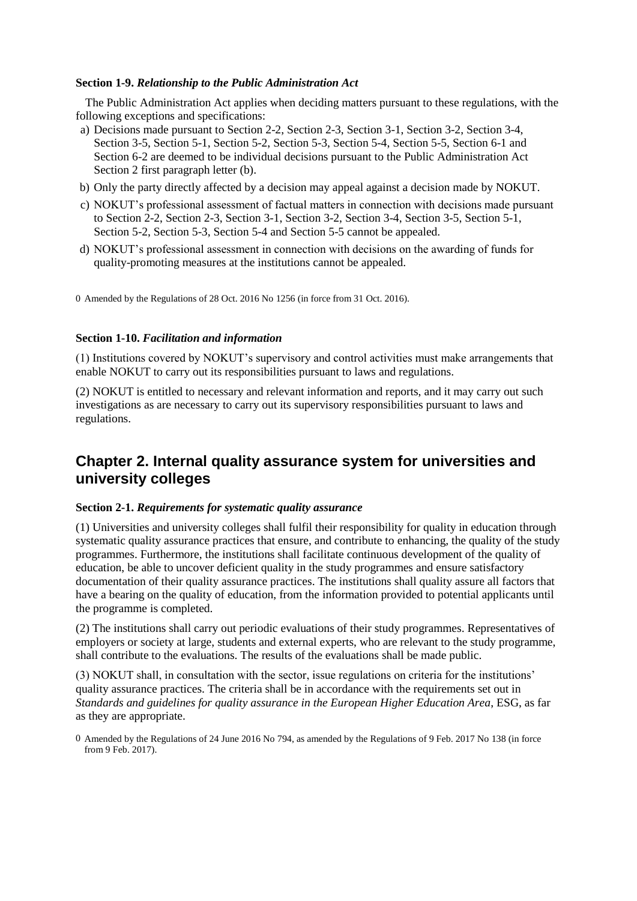## <span id="page-3-0"></span>**Section 1-9.** *Relationship to the Public Administration Act*

The Public Administration Act applies when deciding matters pursuant to these regulations, with the following exceptions and specifications:

- a) Decisions made pursuant to [Section 2-2,](http://www.lovdata.no/pro#reference/forskrift/2010-02-01-96/§2-2) [Section 2-3,](http://www.lovdata.no/pro#reference/forskrift/2010-02-01-96/§2-3) [Section 3-1,](http://www.lovdata.no/pro#reference/forskrift/2010-02-01-96/§3-1) [Section 3-2,](http://www.lovdata.no/pro#reference/forskrift/2010-02-01-96/§3-2) [Section 3-4,](http://www.lovdata.no/pro#reference/forskrift/2010-02-01-96/§3-4) [Section 3-5,](http://www.lovdata.no/pro#reference/forskrift/2010-02-01-96/§3-5) [Section 5-1,](http://www.lovdata.no/pro#reference/forskrift/2010-02-01-96/§5-1) [Section 5-2,](http://www.lovdata.no/pro#reference/forskrift/2010-02-01-96/§5-2) [Section 5-3,](http://www.lovdata.no/pro#reference/forskrift/2010-02-01-96/§5-3) [Section 5-4,](http://www.lovdata.no/pro#reference/forskrift/2010-02-01-96/§5-4) [Section 5-5,](http://www.lovdata.no/pro#reference/forskrift/2010-02-01-96/§5-5) [Section 6-1](http://www.lovdata.no/pro#reference/forskrift/2010-02-01-96/§6-1) and [Section 6-2](http://www.lovdata.no/pro#reference/forskrift/2010-02-01-96/§6-2) are deemed to be individual decisions pursuant to [the Public Administration Act](http://www.lovdata.no/pro#reference/lov/1967-02-10/§2)  [Section 2](http://www.lovdata.no/pro#reference/lov/1967-02-10/§2) first paragraph letter (b).
- b) Only the party directly affected by a decision may appeal against a decision made by NOKUT.
- c) NOKUT's professional assessment of factual matters in connection with decisions made pursuant to [Section 2-2,](http://www.lovdata.no/pro#reference/forskrift/2010-02-01-96/§2-2) [Section 2-3,](http://www.lovdata.no/pro#reference/forskrift/2010-02-01-96/§2-3) [Section 3-1,](http://www.lovdata.no/pro#reference/forskrift/2010-02-01-96/§3-1) [Section 3-2,](http://www.lovdata.no/pro#reference/forskrift/2010-02-01-96/§3-2) [Section 3-4,](http://www.lovdata.no/pro#reference/forskrift/2010-02-01-96/§3-4) [Section 3-5,](http://www.lovdata.no/pro#reference/forskrift/2010-02-01-96/§3-5) [Section 5-1,](http://www.lovdata.no/pro#reference/forskrift/2010-02-01-96/§5-1) [Section 5-2,](http://www.lovdata.no/pro#reference/forskrift/2010-02-01-96/§5-2) [Section 5-3,](http://www.lovdata.no/pro#reference/forskrift/2010-02-01-96/§5-3) [Section 5-4](http://www.lovdata.no/pro#reference/forskrift/2010-02-01-96/§5-4) and [Section 5-5](http://www.lovdata.no/pro#reference/forskrift/2010-02-01-96/§5-5) cannot be appealed.
- d) NOKUT's professional assessment in connection with decisions on the awarding of funds for quality-promoting measures at the institutions cannot be appealed.

0 Amended by th[e Regulations of 28 Oct. 2016 No](http://www.lovdata.no/pro#reference/forskrift/2016-10-28-1256) [1256](http://www.lovdata.no/pro#reference/forskrift/2016-10-28-1256) (in force from 31 Oct. 2016).

#### <span id="page-3-1"></span>**Section 1-10.** *Facilitation and information*

(1) Institutions covered by NOKUT's supervisory and control activities must make arrangements that enable NOKUT to carry out its responsibilities pursuant to laws and regulations.

(2) NOKUT is entitled to necessary and relevant information and reports, and it may carry out such investigations as are necessary to carry out its supervisory responsibilities pursuant to laws and regulations.

## <span id="page-3-2"></span>**Chapter 2. Internal quality assurance system for universities and university colleges**

#### <span id="page-3-3"></span>**Section 2-1.** *Requirements for systematic quality assurance*

(1) Universities and university colleges shall fulfil their responsibility for quality in education through systematic quality assurance practices that ensure, and contribute to enhancing, the quality of the study programmes. Furthermore, the institutions shall facilitate continuous development of the quality of education, be able to uncover deficient quality in the study programmes and ensure satisfactory documentation of their quality assurance practices. The institutions shall quality assure all factors that have a bearing on the quality of education, from the information provided to potential applicants until the programme is completed.

(2) The institutions shall carry out periodic evaluations of their study programmes. Representatives of employers or society at large, students and external experts, who are relevant to the study programme, shall contribute to the evaluations. The results of the evaluations shall be made public.

(3) NOKUT shall, in consultation with the sector, issue regulations on criteria for the institutions' quality assurance practices. The criteria shall be in accordance with the requirements set out in *Standards and guidelines for quality assurance in the European Higher Education Area*, ESG, as far as they are appropriate.

<span id="page-3-4"></span>0 Amended by th[e Regulations of 24 June 2016 No](http://www.lovdata.no/pro#reference/forskrift/2016-06-24-794) [794,](http://www.lovdata.no/pro#reference/forskrift/2016-06-24-794) as amended by the [Regulations of 9 Feb. 2017 No](http://www.lovdata.no/pro#reference/forskrift/2017-02-09-138) [138](http://www.lovdata.no/pro#reference/forskrift/2017-02-09-138) (in force from 9 Feb. 2017).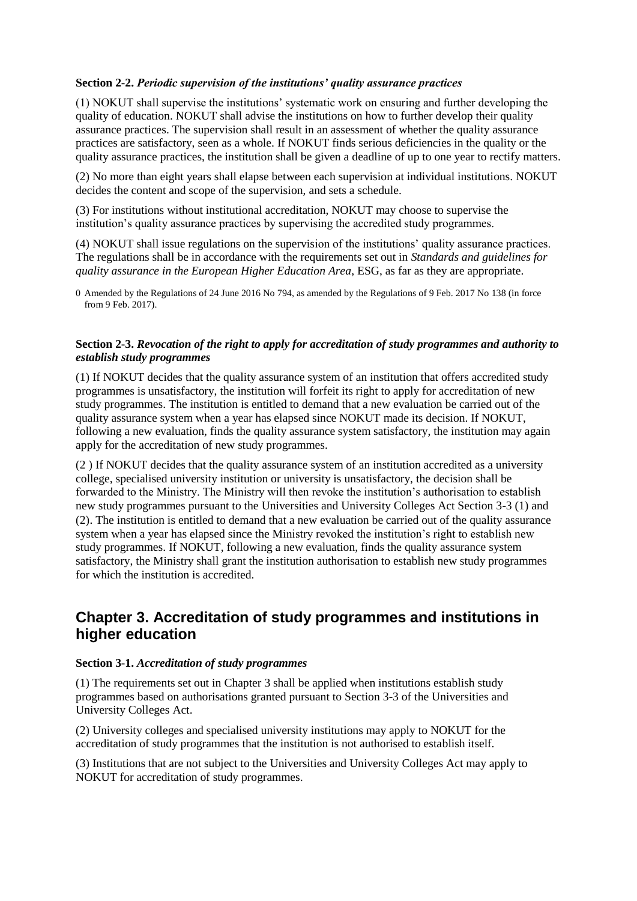## **Section 2-2.** *Periodic supervision of the institutions' quality assurance practices*

(1) NOKUT shall supervise the institutions' systematic work on ensuring and further developing the quality of education. NOKUT shall advise the institutions on how to further develop their quality assurance practices. The supervision shall result in an assessment of whether the quality assurance practices are satisfactory, seen as a whole. If NOKUT finds serious deficiencies in the quality or the quality assurance practices, the institution shall be given a deadline of up to one year to rectify matters.

(2) No more than eight years shall elapse between each supervision at individual institutions. NOKUT decides the content and scope of the supervision, and sets a schedule.

(3) For institutions without institutional accreditation, NOKUT may choose to supervise the institution's quality assurance practices by supervising the accredited study programmes.

(4) NOKUT shall issue regulations on the supervision of the institutions' quality assurance practices. The regulations shall be in accordance with the requirements set out in *Standards and guidelines for quality assurance in the European Higher Education Area*, ESG, as far as they are appropriate.

0 Amended by th[e Regulations of 24 June 2016 No](http://www.lovdata.no/pro#reference/forskrift/2016-06-24-794) [794,](http://www.lovdata.no/pro#reference/forskrift/2016-06-24-794) as amended by the [Regulations of 9 Feb. 2017 No](http://www.lovdata.no/pro#reference/forskrift/2017-02-09-138) [138](http://www.lovdata.no/pro#reference/forskrift/2017-02-09-138) (in force from 9 Feb. 2017).

## <span id="page-4-0"></span>**Section 2-3.** *Revocation of the right to apply for accreditation of study programmes and authority to establish study programmes*

(1) If NOKUT decides that the quality assurance system of an institution that offers accredited study programmes is unsatisfactory, the institution will forfeit its right to apply for accreditation of new study programmes. The institution is entitled to demand that a new evaluation be carried out of the quality assurance system when a year has elapsed since NOKUT made its decision. If NOKUT, following a new evaluation, finds the quality assurance system satisfactory, the institution may again apply for the accreditation of new study programmes.

(2 ) If NOKUT decides that the quality assurance system of an institution accredited as a university college, specialised university institution or university is unsatisfactory, the decision shall be forwarded to the Ministry. The Ministry will then revoke the institution's authorisation to establish new study programmes pursuant to the [Universities and University Colleges Act Section 3-3](http://www.lovdata.no/pro#reference/lov/2005-04-01-15/§3-3) (1) and (2). The institution is entitled to demand that a new evaluation be carried out of the quality assurance system when a year has elapsed since the Ministry revoked the institution's right to establish new study programmes. If NOKUT, following a new evaluation, finds the quality assurance system satisfactory, the Ministry shall grant the institution authorisation to establish new study programmes for which the institution is accredited.

## <span id="page-4-1"></span>**Chapter 3. Accreditation of study programmes and institutions in higher education**

## <span id="page-4-2"></span>**Section 3-1.** *Accreditation of study programmes*

(1) The requirements set out in [Chapter](http://www.lovdata.no/pro#reference/forskrift/2010-02-01-96/kap3) 3 shall be applied when institutions establish study programmes based on authorisations granted pursuant to Section 3-3 of the [Universities and](http://www.lovdata.no/pro#reference/lov/2005-04-01-15/§3-3)  [University Colleges Act.](http://www.lovdata.no/pro#reference/lov/2005-04-01-15/§3-3)

(2) University colleges and specialised university institutions may apply to NOKUT for the accreditation of study programmes that the institution is not authorised to establish itself.

(3) Institutions that are not subject to the Universities and University Colleges Act may apply to NOKUT for accreditation of study programmes.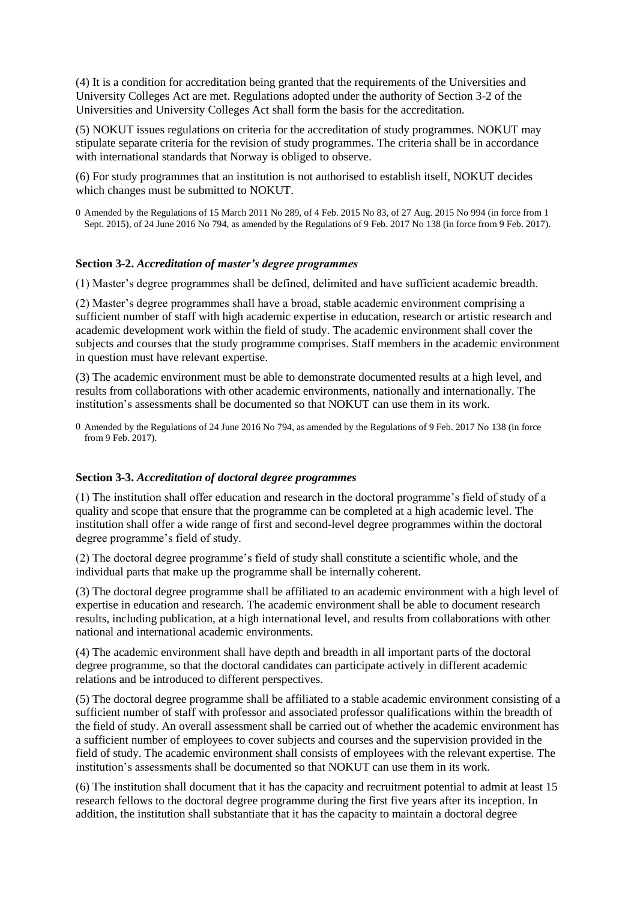(4) It is a condition for accreditation being granted that the requirements of the Universities and University Colleges Act are met. Regulations adopted under the authority of Section 3-2 of the [Universities and University Colleges Act](http://www.lovdata.no/pro#reference/lov/2005-04-01-15/§3-2) shall form the basis for the accreditation.

(5) NOKUT issues regulations on criteria for the accreditation of study programmes. NOKUT may stipulate separate criteria for the revision of study programmes. The criteria shall be in accordance with international standards that Norway is obliged to observe.

(6) For study programmes that an institution is not authorised to establish itself, NOKUT decides which changes must be submitted to NOKUT.

0 Amended by th[e Regulations of 15 March 2011 No](http://www.lovdata.no/pro#reference/forskrift/2011-03-15-289) [289,](http://www.lovdata.no/pro#reference/forskrift/2011-03-15-289) [of 4 Feb. 2015 No](http://www.lovdata.no/pro#reference/forskrift/2015-02-04-83) [83,](http://www.lovdata.no/pro#reference/forskrift/2015-02-04-83) [of 27 Aug. 2015 No](http://www.lovdata.no/pro#reference/forskrift/2015-08-27-994) [994](http://www.lovdata.no/pro#reference/forskrift/2015-08-27-994) (in force from 1 Sept. 2015), [of 24 June 2016 No](http://www.lovdata.no/pro#reference/forskrift/2016-06-24-794) [794,](http://www.lovdata.no/pro#reference/forskrift/2016-06-24-794) as amended by the [Regulations of 9 Feb. 2017 No](http://www.lovdata.no/pro#reference/forskrift/2017-02-09-138) [138](http://www.lovdata.no/pro#reference/forskrift/2017-02-09-138) (in force from 9 Feb. 2017).

### <span id="page-5-0"></span>**Section 3-2.** *Accreditation of master's degree programmes*

(1) Master's degree programmes shall be defined, delimited and have sufficient academic breadth.

(2) Master's degree programmes shall have a broad, stable academic environment comprising a sufficient number of staff with high academic expertise in education, research or artistic research and academic development work within the field of study. The academic environment shall cover the subjects and courses that the study programme comprises. Staff members in the academic environment in question must have relevant expertise.

(3) The academic environment must be able to demonstrate documented results at a high level, and results from collaborations with other academic environments, nationally and internationally. The institution's assessments shall be documented so that NOKUT can use them in its work.

0 Amended by th[e Regulations of 24 June 2016 No](http://www.lovdata.no/pro#reference/forskrift/2016-06-24-794) [794,](http://www.lovdata.no/pro#reference/forskrift/2016-06-24-794) as amended by the [Regulations of 9 Feb. 2017 No](http://www.lovdata.no/pro#reference/forskrift/2017-02-09-138) [138](http://www.lovdata.no/pro#reference/forskrift/2017-02-09-138) (in force from 9 Feb. 2017).

#### <span id="page-5-1"></span>**Section 3-3.** *Accreditation of doctoral degree programmes*

(1) The institution shall offer education and research in the doctoral programme's field of study of a quality and scope that ensure that the programme can be completed at a high academic level. The institution shall offer a wide range of first and second-level degree programmes within the doctoral degree programme's field of study.

(2) The doctoral degree programme's field of study shall constitute a scientific whole, and the individual parts that make up the programme shall be internally coherent.

(3) The doctoral degree programme shall be affiliated to an academic environment with a high level of expertise in education and research. The academic environment shall be able to document research results, including publication, at a high international level, and results from collaborations with other national and international academic environments.

(4) The academic environment shall have depth and breadth in all important parts of the doctoral degree programme, so that the doctoral candidates can participate actively in different academic relations and be introduced to different perspectives.

(5) The doctoral degree programme shall be affiliated to a stable academic environment consisting of a sufficient number of staff with professor and associated professor qualifications within the breadth of the field of study. An overall assessment shall be carried out of whether the academic environment has a sufficient number of employees to cover subjects and courses and the supervision provided in the field of study. The academic environment shall consists of employees with the relevant expertise. The institution's assessments shall be documented so that NOKUT can use them in its work.

(6) The institution shall document that it has the capacity and recruitment potential to admit at least 15 research fellows to the doctoral degree programme during the first five years after its inception. In addition, the institution shall substantiate that it has the capacity to maintain a doctoral degree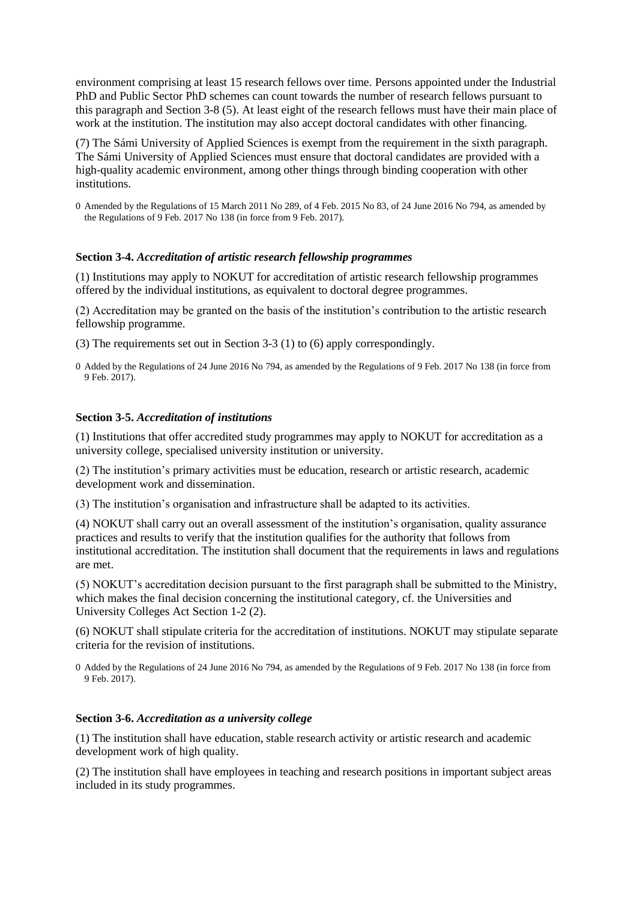environment comprising at least 15 research fellows over time. Persons appointed under the Industrial PhD and Public Sector PhD schemes can count towards the number of research fellows pursuant to this paragraph and [Section 3-8](http://www.lovdata.no/pro#reference/forskrift/2010-02-01-96/§3-8) (5). At least eight of the research fellows must have their main place of work at the institution. The institution may also accept doctoral candidates with other financing.

(7) The Sámi University of Applied Sciences is exempt from the requirement in the sixth paragraph. The Sámi University of Applied Sciences must ensure that doctoral candidates are provided with a high-quality academic environment, among other things through binding cooperation with other institutions.

0 Amended by th[e Regulations of 15 March 2011 No](http://www.lovdata.no/pro#reference/forskrift/2011-03-15-289) [289,](http://www.lovdata.no/pro#reference/forskrift/2011-03-15-289) [of 4 Feb. 2015 No](http://www.lovdata.no/pro#reference/forskrift/2015-02-04-83) [83,](http://www.lovdata.no/pro#reference/forskrift/2015-02-04-83) [of 24 June 2016 No](http://www.lovdata.no/pro#reference/forskrift/2016-06-24-794) [794,](http://www.lovdata.no/pro#reference/forskrift/2016-06-24-794) as amended by th[e Regulations of 9 Feb. 2017 No](http://www.lovdata.no/pro#reference/forskrift/2017-02-09-138) [138](http://www.lovdata.no/pro#reference/forskrift/2017-02-09-138) (in force from 9 Feb. 2017).

#### <span id="page-6-0"></span>**Section 3-4.** *Accreditation of artistic research fellowship programmes*

(1) Institutions may apply to NOKUT for accreditation of artistic research fellowship programmes offered by the individual institutions, as equivalent to doctoral degree programmes.

(2) Accreditation may be granted on the basis of the institution's contribution to the artistic research fellowship programme.

(3) The requirements set out in [Section 3-3](http://www.lovdata.no/pro#reference/forskrift/2010-02-01-96/§3-3) (1) to (6) apply correspondingly.

0 Added by th[e Regulations of 24 June 2016 No](http://www.lovdata.no/pro#reference/forskrift/2016-06-24-794) [794,](http://www.lovdata.no/pro#reference/forskrift/2016-06-24-794) as amended by th[e Regulations of 9 Feb. 2017 No](http://www.lovdata.no/pro#reference/forskrift/2017-02-09-138) [138](http://www.lovdata.no/pro#reference/forskrift/2017-02-09-138) (in force from 9 Feb. 2017).

#### <span id="page-6-1"></span>**Section 3-5.** *Accreditation of institutions*

(1) Institutions that offer accredited study programmes may apply to NOKUT for accreditation as a university college, specialised university institution or university.

(2) The institution's primary activities must be education, research or artistic research, academic development work and dissemination.

(3) The institution's organisation and infrastructure shall be adapted to its activities.

(4) NOKUT shall carry out an overall assessment of the institution's organisation, quality assurance practices and results to verify that the institution qualifies for the authority that follows from institutional accreditation. The institution shall document that the requirements in laws and regulations are met.

(5) NOKUT's accreditation decision pursuant to the first paragraph shall be submitted to the Ministry, which makes the final decision concerning the institutional category, cf. the [Universities and](http://www.lovdata.no/pro#reference/lov/2005-04-01-15/§1-2)  [University Colleges Act Section 1-2](http://www.lovdata.no/pro#reference/lov/2005-04-01-15/§1-2) (2).

(6) NOKUT shall stipulate criteria for the accreditation of institutions. NOKUT may stipulate separate criteria for the revision of institutions.

0 Added by th[e Regulations of 24 June 2016 No](http://www.lovdata.no/pro#reference/forskrift/2016-06-24-794) [794,](http://www.lovdata.no/pro#reference/forskrift/2016-06-24-794) as amended by th[e Regulations of 9 Feb. 2017 No](http://www.lovdata.no/pro#reference/forskrift/2017-02-09-138) [138](http://www.lovdata.no/pro#reference/forskrift/2017-02-09-138) (in force from 9 Feb. 2017).

### <span id="page-6-2"></span>**Section 3-6.** *Accreditation as a university college*

(1) The institution shall have education, stable research activity or artistic research and academic development work of high quality.

(2) The institution shall have employees in teaching and research positions in important subject areas included in its study programmes.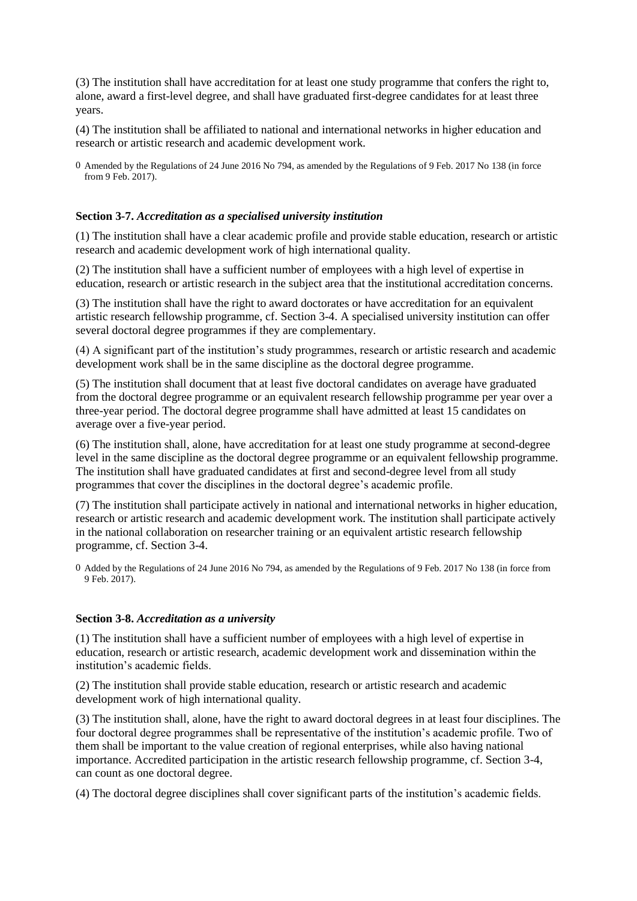(3) The institution shall have accreditation for at least one study programme that confers the right to, alone, award a first-level degree, and shall have graduated first-degree candidates for at least three years.

(4) The institution shall be affiliated to national and international networks in higher education and research or artistic research and academic development work.

0 Amended by th[e Regulations of 24 June 2016 No](http://www.lovdata.no/pro#reference/forskrift/2016-06-24-794) [794,](http://www.lovdata.no/pro#reference/forskrift/2016-06-24-794) as amended by the [Regulations of 9 Feb. 2017 No](http://www.lovdata.no/pro#reference/forskrift/2017-02-09-138) [138](http://www.lovdata.no/pro#reference/forskrift/2017-02-09-138) (in force from 9 Feb. 2017).

## <span id="page-7-0"></span>**Section 3-7.** *Accreditation as a specialised university institution*

(1) The institution shall have a clear academic profile and provide stable education, research or artistic research and academic development work of high international quality.

(2) The institution shall have a sufficient number of employees with a high level of expertise in education, research or artistic research in the subject area that the institutional accreditation concerns.

(3) The institution shall have the right to award doctorates or have accreditation for an equivalent artistic research fellowship programme, cf. [Section 3-4.](http://www.lovdata.no/pro#reference/forskrift/2010-02-01-96/§3-4) A specialised university institution can offer several doctoral degree programmes if they are complementary.

(4) A significant part of the institution's study programmes, research or artistic research and academic development work shall be in the same discipline as the doctoral degree programme.

(5) The institution shall document that at least five doctoral candidates on average have graduated from the doctoral degree programme or an equivalent research fellowship programme per year over a three-year period. The doctoral degree programme shall have admitted at least 15 candidates on average over a five-year period.

(6) The institution shall, alone, have accreditation for at least one study programme at second-degree level in the same discipline as the doctoral degree programme or an equivalent fellowship programme. The institution shall have graduated candidates at first and second-degree level from all study programmes that cover the disciplines in the doctoral degree's academic profile.

(7) The institution shall participate actively in national and international networks in higher education, research or artistic research and academic development work. The institution shall participate actively in the national collaboration on researcher training or an equivalent artistic research fellowship programme, cf. [Section 3-4.](http://www.lovdata.no/pro#reference/forskrift/2010-02-01-96/§3-4)

0 Added by the Regulations of [24 June 2016 No](http://www.lovdata.no/pro#reference/forskrift/2016-06-24-794) [794,](http://www.lovdata.no/pro#reference/forskrift/2016-06-24-794) as amended by th[e Regulations of 9 Feb. 2017 No](http://www.lovdata.no/pro#reference/forskrift/2017-02-09-138) [138](http://www.lovdata.no/pro#reference/forskrift/2017-02-09-138) (in force from 9 Feb. 2017).

#### <span id="page-7-1"></span>**Section 3-8.** *Accreditation as a university*

(1) The institution shall have a sufficient number of employees with a high level of expertise in education, research or artistic research, academic development work and dissemination within the institution's academic fields.

(2) The institution shall provide stable education, research or artistic research and academic development work of high international quality.

(3) The institution shall, alone, have the right to award doctoral degrees in at least four disciplines. The four doctoral degree programmes shall be representative of the institution's academic profile. Two of them shall be important to the value creation of regional enterprises, while also having national importance. Accredited participation in the artistic research fellowship programme, cf. Section 3-4, can count as one doctoral degree.

(4) The doctoral degree disciplines shall cover significant parts of the institution's academic fields.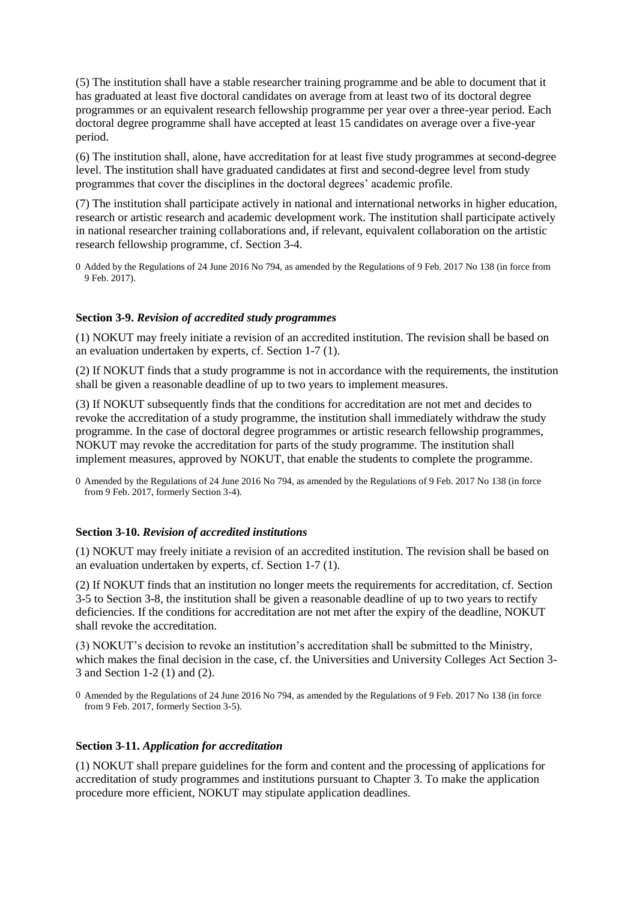(5) The institution shall have a stable researcher training programme and be able to document that it has graduated at least five doctoral candidates on average from at least two of its doctoral degree programmes or an equivalent research fellowship programme per year over a three-year period. Each doctoral degree programme shall have accepted at least 15 candidates on average over a five-year period.

(6) The institution shall, alone, have accreditation for at least five study programmes at second-degree level. The institution shall have graduated candidates at first and second-degree level from study programmes that cover the disciplines in the doctoral degrees' academic profile.

(7) The institution shall participate actively in national and international networks in higher education, research or artistic research and academic development work. The institution shall participate actively in national researcher training collaborations and, if relevant, equivalent collaboration on the artistic research fellowship programme, cf. [Section 3-4.](http://www.lovdata.no/pro#reference/forskrift/2010-02-01-96/§3-4)

0 Added by th[e Regulations of 24 June 2016 No](http://www.lovdata.no/pro#reference/forskrift/2016-06-24-794) [794,](http://www.lovdata.no/pro#reference/forskrift/2016-06-24-794) as amended by th[e Regulations of 9 Feb. 2017 No](http://www.lovdata.no/pro#reference/forskrift/2017-02-09-138) [138](http://www.lovdata.no/pro#reference/forskrift/2017-02-09-138) (in force from 9 Feb. 2017).

#### <span id="page-8-0"></span>**Section 3-9.** *Revision of accredited study programmes*

(1) NOKUT may freely initiate a revision of an accredited institution. The revision shall be based on an evaluation undertaken by experts, cf. [Section 1-7](http://www.lovdata.no/pro#reference/forskrift/2010-02-01-96/§1-7) (1).

(2) If NOKUT finds that a study programme is not in accordance with the requirements, the institution shall be given a reasonable deadline of up to two years to implement measures.

(3) If NOKUT subsequently finds that the conditions for accreditation are not met and decides to revoke the accreditation of a study programme, the institution shall immediately withdraw the study programme. In the case of doctoral degree programmes or artistic research fellowship programmes, NOKUT may revoke the accreditation for parts of the study programme. The institution shall implement measures, approved by NOKUT, that enable the students to complete the programme.

0 Amended by th[e Regulations of 24 June 2016 No](http://www.lovdata.no/pro#reference/forskrift/2016-06-24-794) [794,](http://www.lovdata.no/pro#reference/forskrift/2016-06-24-794) as amended by the [Regulations of 9 Feb. 2017 No](http://www.lovdata.no/pro#reference/forskrift/2017-02-09-138) [138](http://www.lovdata.no/pro#reference/forskrift/2017-02-09-138) (in force from 9 Feb. 2017, formerly Section 3-4).

### <span id="page-8-1"></span>**Section 3-10.** *Revision of accredited institutions*

(1) NOKUT may freely initiate a revision of an accredited institution. The revision shall be based on an evaluation undertaken by experts, cf. [Section 1-7](http://www.lovdata.no/pro#reference/forskrift/2010-02-01-96/§1-7) (1).

(2) If NOKUT finds that an institution no longer meets the requirements for accreditation, cf. [Section](http://www.lovdata.no/pro#reference/forskrift/2010-02-01-96/§3-5)  [3-5](http://www.lovdata.no/pro#reference/forskrift/2010-02-01-96/§3-5) to [Section 3-8,](http://www.lovdata.no/pro#reference/forskrift/2010-02-01-96/§3-8) the institution shall be given a reasonable deadline of up to two years to rectify deficiencies. If the conditions for accreditation are not met after the expiry of the deadline, NOKUT shall revoke the accreditation.

(3) NOKUT's decision to revoke an institution's accreditation shall be submitted to the Ministry, which makes the final decision in the case, cf. the [Universities and University Colleges](http://www.lovdata.no/pro#reference/lov/2005-04-01-15/§3-3) Act Section 3- [3](http://www.lovdata.no/pro#reference/lov/2005-04-01-15/§3-3) an[d Section 1-2](http://www.lovdata.no/pro#reference/lov/2005-04-01-15/§1-2) (1) and (2).

### <span id="page-8-2"></span>**Section 3-11.** *Application for accreditation*

(1) NOKUT shall prepare guidelines for the form and content and the processing of applications for accreditation of study programmes and institutions pursuant to [Chapter](http://www.lovdata.no/pro#reference/forskrift/2010-02-01-96/kap3) 3. To make the application procedure more efficient, NOKUT may stipulate application deadlines.

<sup>0</sup> Amended by th[e Regulations of 24 June 2016 No](http://www.lovdata.no/pro#reference/forskrift/2016-06-24-794) [794,](http://www.lovdata.no/pro#reference/forskrift/2016-06-24-794) as amended by the [Regulations of 9 Feb. 2017 No](http://www.lovdata.no/pro#reference/forskrift/2017-02-09-138) [138](http://www.lovdata.no/pro#reference/forskrift/2017-02-09-138) (in force from 9 Feb. 2017, formerly Section 3-5).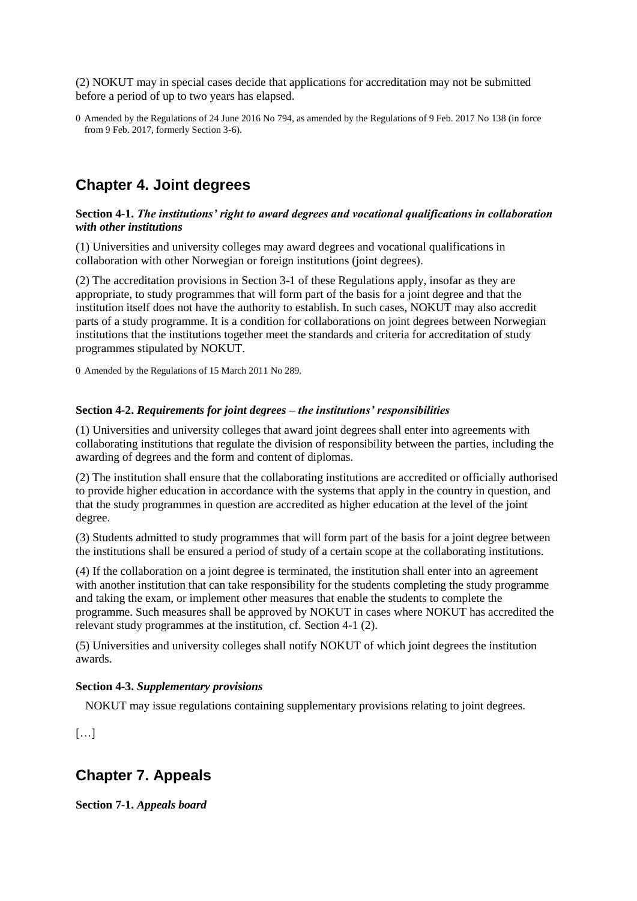(2) NOKUT may in special cases decide that applications for accreditation may not be submitted before a period of up to two years has elapsed.

0 Amended by the [Regulations of 24 June 2016 No](http://www.lovdata.no/pro#reference/forskrift/2016-06-24-794) [794,](http://www.lovdata.no/pro#reference/forskrift/2016-06-24-794) as amended by the [Regulations of 9 Feb. 2017 No](http://www.lovdata.no/pro#reference/forskrift/2017-02-09-138) [138](http://www.lovdata.no/pro#reference/forskrift/2017-02-09-138) (in force from 9 Feb. 2017, formerly Section 3-6).

## <span id="page-9-0"></span>**Chapter 4. Joint degrees**

## <span id="page-9-1"></span>**Section 4-1.** *The institutions' right to award degrees and vocational qualifications in collaboration with other institutions*

(1) Universities and university colleges may award degrees and vocational qualifications in collaboration with other Norwegian or foreign institutions (joint degrees).

(2) The accreditation provisions in [Section 3-1](http://www.lovdata.no/pro#reference/forskrift/2010-02-01-96/§3-1) of these Regulations apply, insofar as they are appropriate, to study programmes that will form part of the basis for a joint degree and that the institution itself does not have the authority to establish. In such cases, NOKUT may also accredit parts of a study programme. It is a condition for collaborations on joint degrees between Norwegian institutions that the institutions together meet the standards and criteria for accreditation of study programmes stipulated by NOKUT.

0 Amended by th[e Regulations of 15 March 2011 No](http://www.lovdata.no/pro#reference/forskrift/2011-03-15-289) [289.](http://www.lovdata.no/pro#reference/forskrift/2011-03-15-289)

## <span id="page-9-2"></span>**Section 4-2.** *Requirements for joint degrees – the institutions' responsibilities*

(1) Universities and university colleges that award joint degrees shall enter into agreements with collaborating institutions that regulate the division of responsibility between the parties, including the awarding of degrees and the form and content of diplomas.

(2) The institution shall ensure that the collaborating institutions are accredited or officially authorised to provide higher education in accordance with the systems that apply in the country in question, and that the study programmes in question are accredited as higher education at the level of the joint degree.

(3) Students admitted to study programmes that will form part of the basis for a joint degree between the institutions shall be ensured a period of study of a certain scope at the collaborating institutions.

(4) If the collaboration on a joint degree is terminated, the institution shall enter into an agreement with another institution that can take responsibility for the students completing the study programme and taking the exam, or implement other measures that enable the students to complete the programme. Such measures shall be approved by NOKUT in cases where NOKUT has accredited the relevant study programmes at the institution, cf. [Section 4-1](http://www.lovdata.no/pro#reference/forskrift/2010-02-01-96/§4-1) (2).

(5) Universities and university colleges shall notify NOKUT of which joint degrees the institution awards.

## <span id="page-9-3"></span>**Section 4-3.** *Supplementary provisions*

NOKUT may issue regulations containing supplementary provisions relating to joint degrees.

[…]

## <span id="page-9-4"></span>**Chapter 7. Appeals**

<span id="page-9-5"></span>**Section 7-1.** *Appeals board*